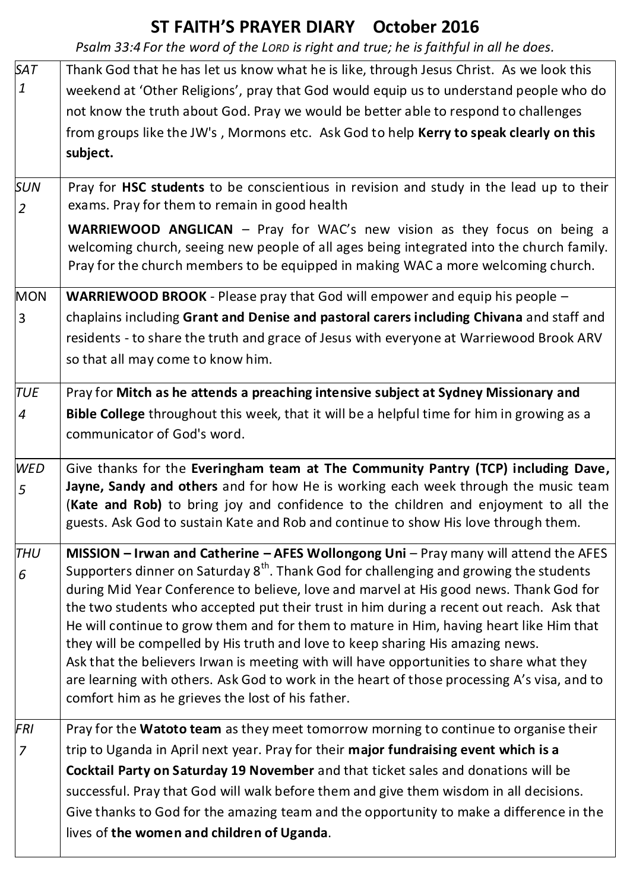## **ST FAITH'S PRAYER DIARY October 2016**

*Psalm 33:4 For the word of the LORD is right and true; he is faithful in all he does.*

| <b>SAT</b>     | Thank God that he has let us know what he is like, through Jesus Christ. As we look this                                                                                                          |
|----------------|---------------------------------------------------------------------------------------------------------------------------------------------------------------------------------------------------|
| $\mathbf{1}$   | weekend at 'Other Religions', pray that God would equip us to understand people who do                                                                                                            |
|                | not know the truth about God. Pray we would be better able to respond to challenges                                                                                                               |
|                | from groups like the JW's, Mormons etc. Ask God to help Kerry to speak clearly on this                                                                                                            |
|                | subject.                                                                                                                                                                                          |
|                |                                                                                                                                                                                                   |
| <b>SUN</b>     | Pray for HSC students to be conscientious in revision and study in the lead up to their                                                                                                           |
| $\overline{2}$ | exams. Pray for them to remain in good health                                                                                                                                                     |
|                | <b>WARRIEWOOD ANGLICAN</b> - Pray for WAC's new vision as they focus on being a                                                                                                                   |
|                | welcoming church, seeing new people of all ages being integrated into the church family.                                                                                                          |
|                | Pray for the church members to be equipped in making WAC a more welcoming church.                                                                                                                 |
| <b>MON</b>     | WARRIEWOOD BROOK - Please pray that God will empower and equip his people -                                                                                                                       |
| 3              | chaplains including Grant and Denise and pastoral carers including Chivana and staff and                                                                                                          |
|                | residents - to share the truth and grace of Jesus with everyone at Warriewood Brook ARV                                                                                                           |
|                | so that all may come to know him.                                                                                                                                                                 |
|                |                                                                                                                                                                                                   |
| <b>TUE</b>     | Pray for Mitch as he attends a preaching intensive subject at Sydney Missionary and                                                                                                               |
| $\overline{4}$ | Bible College throughout this week, that it will be a helpful time for him in growing as a                                                                                                        |
|                | communicator of God's word.                                                                                                                                                                       |
|                |                                                                                                                                                                                                   |
| <b>WED</b>     | Give thanks for the Everingham team at The Community Pantry (TCP) including Dave,<br>Jayne, Sandy and others and for how He is working each week through the music team                           |
| 5              | (Kate and Rob) to bring joy and confidence to the children and enjoyment to all the                                                                                                               |
|                | guests. Ask God to sustain Kate and Rob and continue to show His love through them.                                                                                                               |
|                |                                                                                                                                                                                                   |
| THU            | <b>MISSION - Irwan and Catherine - AFES Wollongong Uni</b> - Pray many will attend the AFES<br>Supporters dinner on Saturday 8 <sup>th</sup> . Thank God for challenging and growing the students |
| 6              | during Mid Year Conference to believe, love and marvel at His good news. Thank God for                                                                                                            |
|                | the two students who accepted put their trust in him during a recent out reach. Ask that                                                                                                          |
|                | He will continue to grow them and for them to mature in Him, having heart like Him that                                                                                                           |
|                | they will be compelled by His truth and love to keep sharing His amazing news.                                                                                                                    |
|                | Ask that the believers Irwan is meeting with will have opportunities to share what they                                                                                                           |
|                | are learning with others. Ask God to work in the heart of those processing A's visa, and to                                                                                                       |
|                | comfort him as he grieves the lost of his father.                                                                                                                                                 |
| FRI            | Pray for the Watoto team as they meet tomorrow morning to continue to organise their                                                                                                              |
| $\overline{7}$ | trip to Uganda in April next year. Pray for their major fundraising event which is a                                                                                                              |
|                | Cocktail Party on Saturday 19 November and that ticket sales and donations will be                                                                                                                |
|                | successful. Pray that God will walk before them and give them wisdom in all decisions.                                                                                                            |
|                | Give thanks to God for the amazing team and the opportunity to make a difference in the                                                                                                           |
|                | lives of the women and children of Uganda.                                                                                                                                                        |
|                |                                                                                                                                                                                                   |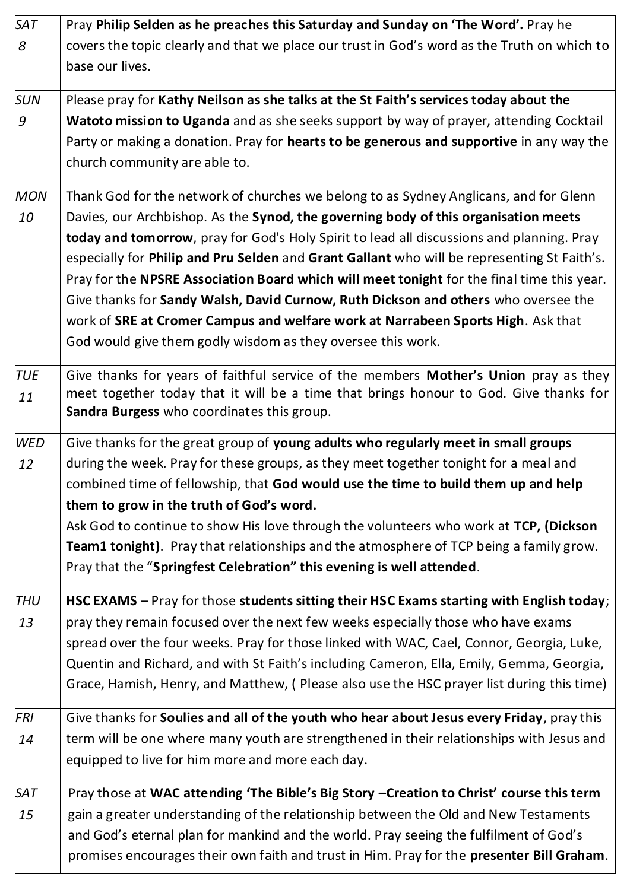| <b>SAT</b> | Pray Philip Selden as he preaches this Saturday and Sunday on 'The Word'. Pray he           |
|------------|---------------------------------------------------------------------------------------------|
| 8          | covers the topic clearly and that we place our trust in God's word as the Truth on which to |
|            | base our lives.                                                                             |
| <b>SUN</b> | Please pray for Kathy Neilson as she talks at the St Faith's services today about the       |
| 9          | Watoto mission to Uganda and as she seeks support by way of prayer, attending Cocktail      |
|            | Party or making a donation. Pray for hearts to be generous and supportive in any way the    |
|            | church community are able to.                                                               |
| <b>MON</b> | Thank God for the network of churches we belong to as Sydney Anglicans, and for Glenn       |
| 10         | Davies, our Archbishop. As the Synod, the governing body of this organisation meets         |
|            | today and tomorrow, pray for God's Holy Spirit to lead all discussions and planning. Pray   |
|            | especially for Philip and Pru Selden and Grant Gallant who will be representing St Faith's. |
|            | Pray for the NPSRE Association Board which will meet tonight for the final time this year.  |
|            | Give thanks for Sandy Walsh, David Curnow, Ruth Dickson and others who oversee the          |
|            | work of SRE at Cromer Campus and welfare work at Narrabeen Sports High. Ask that            |
|            | God would give them godly wisdom as they oversee this work.                                 |
| <b>TUE</b> | Give thanks for years of faithful service of the members Mother's Union pray as they        |
| 11         | meet together today that it will be a time that brings honour to God. Give thanks for       |
|            | Sandra Burgess who coordinates this group.                                                  |
| <b>WED</b> | Give thanks for the great group of young adults who regularly meet in small groups          |
| 12         | during the week. Pray for these groups, as they meet together tonight for a meal and        |
|            | combined time of fellowship, that God would use the time to build them up and help          |
|            | them to grow in the truth of God's word.                                                    |
|            | Ask God to continue to show His love through the volunteers who work at TCP, (Dickson       |
|            | Team1 tonight). Pray that relationships and the atmosphere of TCP being a family grow.      |
|            | Pray that the "Springfest Celebration" this evening is well attended.                       |
| <b>THU</b> | HSC EXAMS - Pray for those students sitting their HSC Exams starting with English today;    |
| 13         | pray they remain focused over the next few weeks especially those who have exams            |
|            | spread over the four weeks. Pray for those linked with WAC, Cael, Connor, Georgia, Luke,    |
|            | Quentin and Richard, and with St Faith's including Cameron, Ella, Emily, Gemma, Georgia,    |
|            | Grace, Hamish, Henry, and Matthew, (Please also use the HSC prayer list during this time)   |
| FRI        | Give thanks for Soulies and all of the youth who hear about Jesus every Friday, pray this   |
| 14         | term will be one where many youth are strengthened in their relationships with Jesus and    |
|            | equipped to live for him more and more each day.                                            |
| SAT        | Pray those at WAC attending 'The Bible's Big Story -Creation to Christ' course this term    |
| 15         | gain a greater understanding of the relationship between the Old and New Testaments         |
|            | and God's eternal plan for mankind and the world. Pray seeing the fulfilment of God's       |
|            | promises encourages their own faith and trust in Him. Pray for the presenter Bill Graham.   |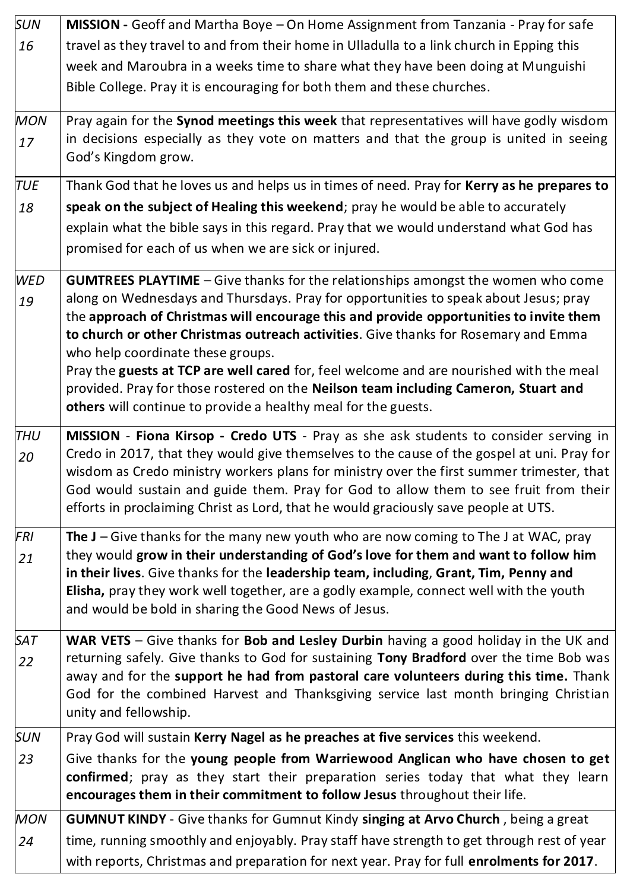| <b>SUN</b> | MISSION - Geoff and Martha Boye - On Home Assignment from Tanzania - Pray for safe                                                                                                      |
|------------|-----------------------------------------------------------------------------------------------------------------------------------------------------------------------------------------|
| 16         | travel as they travel to and from their home in Ulladulla to a link church in Epping this                                                                                               |
|            | week and Maroubra in a weeks time to share what they have been doing at Munguishi                                                                                                       |
|            | Bible College. Pray it is encouraging for both them and these churches.                                                                                                                 |
| <b>MON</b> | Pray again for the Synod meetings this week that representatives will have godly wisdom                                                                                                 |
| 17         | in decisions especially as they vote on matters and that the group is united in seeing<br>God's Kingdom grow.                                                                           |
| <b>TUE</b> | Thank God that he loves us and helps us in times of need. Pray for Kerry as he prepares to                                                                                              |
| 18         | speak on the subject of Healing this weekend; pray he would be able to accurately                                                                                                       |
|            | explain what the bible says in this regard. Pray that we would understand what God has                                                                                                  |
|            | promised for each of us when we are sick or injured.                                                                                                                                    |
| <b>WED</b> | <b>GUMTREES PLAYTIME</b> - Give thanks for the relationships amongst the women who come                                                                                                 |
| 19         | along on Wednesdays and Thursdays. Pray for opportunities to speak about Jesus; pray                                                                                                    |
|            | the approach of Christmas will encourage this and provide opportunities to invite them<br>to church or other Christmas outreach activities. Give thanks for Rosemary and Emma           |
|            | who help coordinate these groups.                                                                                                                                                       |
|            | Pray the guests at TCP are well cared for, feel welcome and are nourished with the meal                                                                                                 |
|            | provided. Pray for those rostered on the Neilson team including Cameron, Stuart and                                                                                                     |
|            | others will continue to provide a healthy meal for the guests.                                                                                                                          |
| <b>THU</b> | MISSION - Fiona Kirsop - Credo UTS - Pray as she ask students to consider serving in                                                                                                    |
| 20         | Credo in 2017, that they would give themselves to the cause of the gospel at uni. Pray for<br>wisdom as Credo ministry workers plans for ministry over the first summer trimester, that |
|            | God would sustain and guide them. Pray for God to allow them to see fruit from their                                                                                                    |
|            | efforts in proclaiming Christ as Lord, that he would graciously save people at UTS.                                                                                                     |
| <b>FRI</b> | The $J - G$ ive thanks for the many new youth who are now coming to The J at WAC, pray                                                                                                  |
| 21         | they would grow in their understanding of God's love for them and want to follow him                                                                                                    |
|            | in their lives. Give thanks for the leadership team, including, Grant, Tim, Penny and<br>Elisha, pray they work well together, are a godly example, connect well with the youth         |
|            | and would be bold in sharing the Good News of Jesus.                                                                                                                                    |
| <b>SAT</b> | WAR VETS - Give thanks for Bob and Lesley Durbin having a good holiday in the UK and                                                                                                    |
| 22         | returning safely. Give thanks to God for sustaining Tony Bradford over the time Bob was                                                                                                 |
|            | away and for the support he had from pastoral care volunteers during this time. Thank                                                                                                   |
|            | God for the combined Harvest and Thanksgiving service last month bringing Christian<br>unity and fellowship.                                                                            |
| <b>SUN</b> | Pray God will sustain Kerry Nagel as he preaches at five services this weekend.                                                                                                         |
| 23         | Give thanks for the young people from Warriewood Anglican who have chosen to get                                                                                                        |
|            | confirmed; pray as they start their preparation series today that what they learn                                                                                                       |
|            | encourages them in their commitment to follow Jesus throughout their life.                                                                                                              |
| <b>MON</b> | <b>GUMNUT KINDY</b> - Give thanks for Gumnut Kindy singing at Arvo Church, being a great                                                                                                |
| 24         | time, running smoothly and enjoyably. Pray staff have strength to get through rest of year                                                                                              |
|            | with reports, Christmas and preparation for next year. Pray for full enrolments for 2017.                                                                                               |